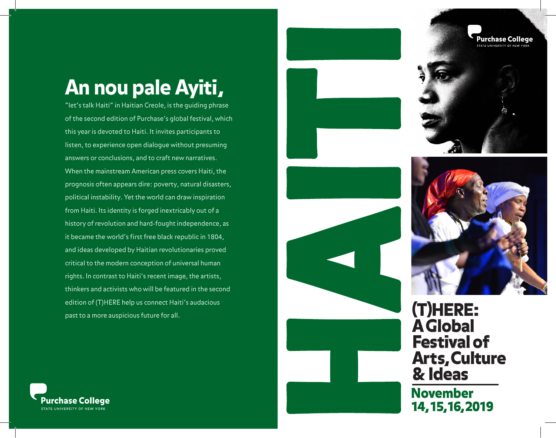## An nou pale Ayiti,

"let's talk Haiti" in Haitian Creole, is the guiding phrase of the second edition of Purchase's global festival, which this year is devoted to Haiti. It invites participants to listen, to experience open dialogue without presuming answers or conclusions, and to craft new narratives. When the mainstream American press covers Haiti, the prognosis often appears dire: poverty, natural disasters, political instability. Yet the world can draw inspiration from Haiti. Its identity is forged inextricably out of a history of revolution and hard-fought independence, as it became the world's first free black republic in 1804, and ideas developed by Haitian revolutionaries proved critical to the modern conception of universal human rights. In contrast to Haiti's recent image, the artists, thinkers and activists who will be featured in the second edition of (T)HERE help us connect Haiti's audacious past to a more auspicious future for all.







(T)HERE: A Global Festival of Arts, Culture & Ideas

14, 15, 16, 2019